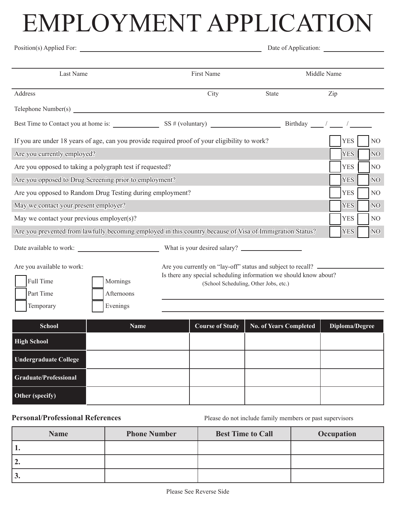## EMPLOYMENT APPLICATION

| Position(s) Applied For:                                                                                   |                                                                                                                                                                            | Date of Application: |            |                |
|------------------------------------------------------------------------------------------------------------|----------------------------------------------------------------------------------------------------------------------------------------------------------------------------|----------------------|------------|----------------|
| Last Name                                                                                                  | First Name                                                                                                                                                                 | Middle Name          |            |                |
| Address                                                                                                    | City                                                                                                                                                                       | <b>State</b>         | Zip        |                |
|                                                                                                            |                                                                                                                                                                            |                      |            |                |
| Best Time to Contact you at home is: $\frac{SS \# (volumtary)}{SSS \# (volumtary)}$ Birthday $\frac{1}{s}$ |                                                                                                                                                                            |                      |            |                |
| If you are under 18 years of age, can you provide required proof of your eligibility to work?              |                                                                                                                                                                            |                      | <b>YES</b> | $\rm NO$       |
| Are you currently employed?                                                                                |                                                                                                                                                                            |                      | <b>YES</b> | N <sub>O</sub> |
| Are you opposed to taking a polygraph test if requested?                                                   |                                                                                                                                                                            |                      |            | NO             |
| Are you opposed to Drug Screening prior to employment?<br><b>YES</b><br>N <sub>O</sub>                     |                                                                                                                                                                            |                      |            |                |
| Are you opposed to Random Drug Testing during employment?                                                  |                                                                                                                                                                            |                      | <b>YES</b> | NO             |
| May we contact your present employer?                                                                      |                                                                                                                                                                            |                      | <b>YES</b> | N <sub>O</sub> |
| May we contact your previous employer(s)?                                                                  |                                                                                                                                                                            |                      | <b>YES</b> | NO.            |
| Are you prevented from lawfully becoming employed in this country because of Visa of Immigration Status?   |                                                                                                                                                                            |                      | <b>YES</b> | NO             |
| Date available to work:                                                                                    |                                                                                                                                                                            |                      |            |                |
| Are you available to work:<br>Full Time<br>Mornings<br>Part Time<br>Afternoons                             | Are you currently on "lay-off" status and subject to recall?<br>Is there any special scheduling information we should know about?<br>(School Scheduling, Other Jobs, etc.) |                      |            |                |
| Evenings<br>Temporary                                                                                      |                                                                                                                                                                            |                      |            |                |

| <b>School</b>                | <b>Name</b> | Course of Study | <b>No. of Years Completed</b> | Diploma/Degree |
|------------------------------|-------------|-----------------|-------------------------------|----------------|
| <b>High School</b>           |             |                 |                               |                |
| <b>Undergraduate College</b> |             |                 |                               |                |
| Graduate/Professional        |             |                 |                               |                |
| Other (specify)              |             |                 |                               |                |

**Personal/Professional References** Please do not include family members or past supervisors

| <b>Name</b> | <b>Phone Number</b> | <b>Best Time to Call</b> | Occupation |
|-------------|---------------------|--------------------------|------------|
| 1.          |                     |                          |            |
| 12.         |                     |                          |            |
| $\vert 3.$  |                     |                          |            |